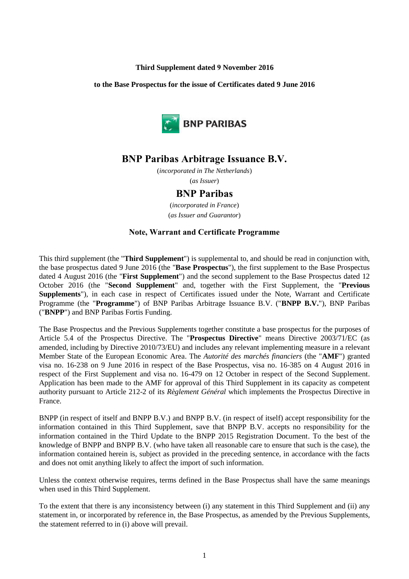### **Third Supplement dated 9 November 2016**

#### **to the Base Prospectus for the issue of Certificates dated 9 June 2016**



# **BNP Paribas Arbitrage Issuance B.V.**

(*incorporated in The Netherlands*) (*as Issuer*)

# **BNP Paribas**

(*incorporated in France*) (*as Issuer and Guarantor*)

## **Note, Warrant and Certificate Programme**

This third supplement (the "**Third Supplement**") is supplemental to, and should be read in conjunction with, the base prospectus dated 9 June 2016 (the "**Base Prospectus**"), the first supplement to the Base Prospectus dated 4 August 2016 (the "**First Supplement**") and the second supplement to the Base Prospectus dated 12 October 2016 (the "**Second Supplement**" and, together with the First Supplement, the "**Previous Supplements**"), in each case in respect of Certificates issued under the Note, Warrant and Certificate Programme (the "**Programme**") of BNP Paribas Arbitrage Issuance B.V. ("**BNPP B.V.**"), BNP Paribas ("**BNPP**") and BNP Paribas Fortis Funding.

The Base Prospectus and the Previous Supplements together constitute a base prospectus for the purposes of Article 5.4 of the Prospectus Directive. The "**Prospectus Directive**" means Directive 2003/71/EC (as amended, including by Directive 2010/73/EU) and includes any relevant implementing measure in a relevant Member State of the European Economic Area. The *Autorité des marchés financiers* (the "**AMF**") granted visa no. 16-238 on 9 June 2016 in respect of the Base Prospectus, visa no. 16-385 on 4 August 2016 in respect of the First Supplement and visa no. 16-479 on 12 October in respect of the Second Supplement. Application has been made to the AMF for approval of this Third Supplement in its capacity as competent authority pursuant to Article 212-2 of its *Règlement Général* which implements the Prospectus Directive in France.

BNPP (in respect of itself and BNPP B.V.) and BNPP B.V. (in respect of itself) accept responsibility for the information contained in this Third Supplement, save that BNPP B.V. accepts no responsibility for the information contained in the Third Update to the BNPP 2015 Registration Document. To the best of the knowledge of BNPP and BNPP B.V. (who have taken all reasonable care to ensure that such is the case), the information contained herein is, subject as provided in the preceding sentence, in accordance with the facts and does not omit anything likely to affect the import of such information.

Unless the context otherwise requires, terms defined in the Base Prospectus shall have the same meanings when used in this Third Supplement.

To the extent that there is any inconsistency between (i) any statement in this Third Supplement and (ii) any statement in, or incorporated by reference in, the Base Prospectus, as amended by the Previous Supplements, the statement referred to in (i) above will prevail.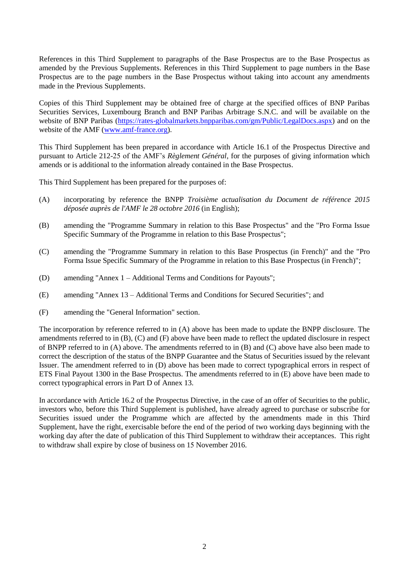References in this Third Supplement to paragraphs of the Base Prospectus are to the Base Prospectus as amended by the Previous Supplements. References in this Third Supplement to page numbers in the Base Prospectus are to the page numbers in the Base Prospectus without taking into account any amendments made in the Previous Supplements.

Copies of this Third Supplement may be obtained free of charge at the specified offices of BNP Paribas Securities Services, Luxembourg Branch and BNP Paribas Arbitrage S.N.C. and will be available on the website of BNP Paribas [\(https://rates-globalmarkets.bnpparibas.com/gm/Public/LegalDocs.aspx\)](https://rates-globalmarkets.bnpparibas.com/gm/Public/LegalDocs.aspx) and on the website of the AMF [\(www.amf-france.org\)](http://www.amf-france.org/).

This Third Supplement has been prepared in accordance with Article 16.1 of the Prospectus Directive and pursuant to Article 212-25 of the AMF's *Règlement Général*, for the purposes of giving information which amends or is additional to the information already contained in the Base Prospectus.

This Third Supplement has been prepared for the purposes of:

- (A) incorporating by reference the BNPP *Troisième actualisation du Document de référence 2015 déposée auprès de l'AMF le 28 octobre 2016* (in English);
- (B) amending the "Programme Summary in relation to this Base Prospectus" and the "Pro Forma Issue Specific Summary of the Programme in relation to this Base Prospectus";
- (C) amending the "Programme Summary in relation to this Base Prospectus (in French)" and the "Pro Forma Issue Specific Summary of the Programme in relation to this Base Prospectus (in French)";
- (D) amending "Annex 1 Additional Terms and Conditions for Payouts";
- (E) amending "Annex 13 Additional Terms and Conditions for Secured Securities"; and
- (F) amending the "General Information" section.

The incorporation by reference referred to in (A) above has been made to update the BNPP disclosure. The amendments referred to in (B), (C) and (F) above have been made to reflect the updated disclosure in respect of BNPP referred to in (A) above. The amendments referred to in (B) and (C) above have also been made to correct the description of the status of the BNPP Guarantee and the Status of Securities issued by the relevant Issuer. The amendment referred to in (D) above has been made to correct typographical errors in respect of ETS Final Payout 1300 in the Base Prospectus. The amendments referred to in (E) above have been made to correct typographical errors in Part D of Annex 13.

In accordance with Article 16.2 of the Prospectus Directive, in the case of an offer of Securities to the public, investors who, before this Third Supplement is published, have already agreed to purchase or subscribe for Securities issued under the Programme which are affected by the amendments made in this Third Supplement, have the right, exercisable before the end of the period of two working days beginning with the working day after the date of publication of this Third Supplement to withdraw their acceptances. This right to withdraw shall expire by close of business on 15 November 2016.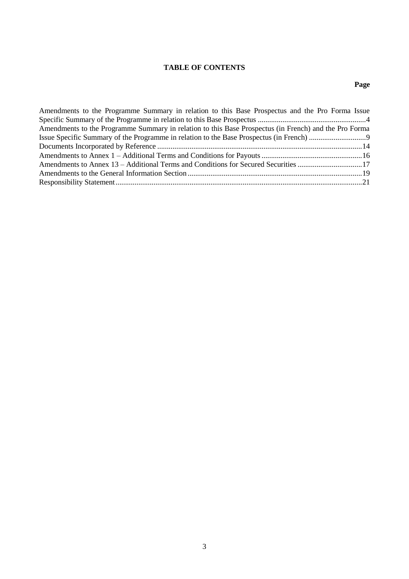## **TABLE OF CONTENTS**

## **Page**

| Amendments to the Programme Summary in relation to this Base Prospectus and the Pro Forma Issue       |  |
|-------------------------------------------------------------------------------------------------------|--|
|                                                                                                       |  |
| Amendments to the Programme Summary in relation to this Base Prospectus (in French) and the Pro Forma |  |
|                                                                                                       |  |
|                                                                                                       |  |
|                                                                                                       |  |
| Amendments to Annex 13 – Additional Terms and Conditions for Secured Securities 17                    |  |
|                                                                                                       |  |
|                                                                                                       |  |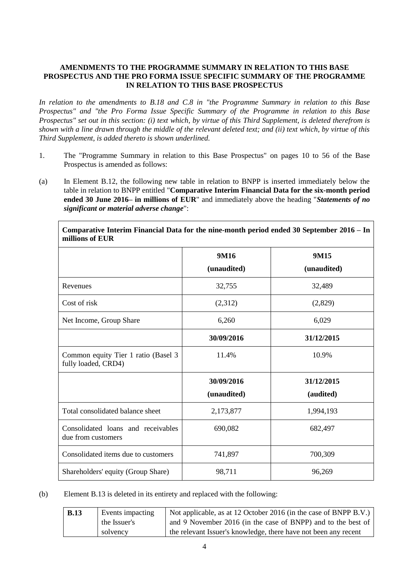## **AMENDMENTS TO THE PROGRAMME SUMMARY IN RELATION TO THIS BASE PROSPECTUS AND THE PRO FORMA ISSUE SPECIFIC SUMMARY OF THE PROGRAMME IN RELATION TO THIS BASE PROSPECTUS**

*In relation to the amendments to B.18 and C.8 in "the Programme Summary in relation to this Base Prospectus" and "the Pro Forma Issue Specific Summary of the Programme in relation to this Base Prospectus" set out in this section: (i) text which, by virtue of this Third Supplement, is deleted therefrom is shown with a line drawn through the middle of the relevant deleted text; and (ii) text which, by virtue of this Third Supplement, is added thereto is shown underlined.* 

- 1. The "Programme Summary in relation to this Base Prospectus" on pages 10 to 56 of the Base Prospectus is amended as follows:
- (a) In Element B.12, the following new table in relation to BNPP is inserted immediately below the table in relation to BNPP entitled "**Comparative Interim Financial Data for the six-month period ended 30 June 2016– in millions of EUR**" and immediately above the heading "*Statements of no significant or material adverse change*":

| Comparative internir f mancial Data for the lime-month period ended 50 september 2010 – In<br>millions of EUR |             |             |
|---------------------------------------------------------------------------------------------------------------|-------------|-------------|
|                                                                                                               | 9M16        | 9M15        |
|                                                                                                               | (unaudited) | (unaudited) |
| Revenues                                                                                                      | 32,755      | 32,489      |
| Cost of risk                                                                                                  | (2,312)     | (2,829)     |
| Net Income, Group Share                                                                                       | 6,260       | 6,029       |
|                                                                                                               | 30/09/2016  | 31/12/2015  |
| Common equity Tier 1 ratio (Basel 3<br>fully loaded, CRD4)                                                    | 11.4%       | 10.9%       |
|                                                                                                               | 30/09/2016  | 31/12/2015  |
|                                                                                                               | (unaudited) | (audited)   |
| Total consolidated balance sheet                                                                              | 2,173,877   | 1,994,193   |
| Consolidated loans and receivables<br>due from customers                                                      | 690,082     | 682,497     |

**Comparative Interim Financial Data for the nine-month period ended 30 September 2016 – In**

(b) Element B.13 is deleted in its entirety and replaced with the following:

| <b>B.13</b> | Events impacting | Not applicable, as at 12 October 2016 (in the case of BNPP B.V.) |
|-------------|------------------|------------------------------------------------------------------|
|             | the Issuer's     | and 9 November 2016 (in the case of BNPP) and to the best of     |
|             | solvency         | the relevant Issuer's knowledge, there have not been any recent  |

Consolidated items due to customers 741,897 700,309

Shareholders' equity (Group Share) 98,711 96,269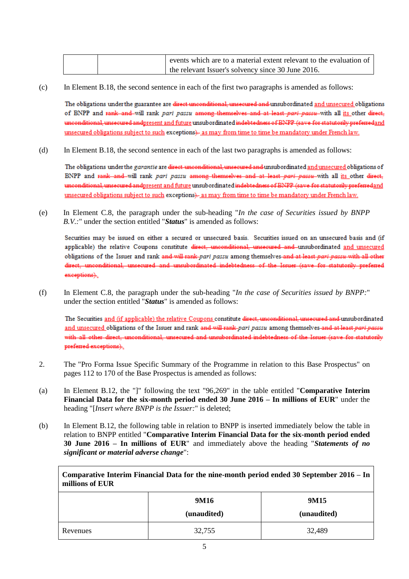| events which are to a material extent relevant to the evaluation of |
|---------------------------------------------------------------------|
| 1 the relevant Issuer's solvency since 30 June 2016.                |

(c) In Element B.18, the second sentence in each of the first two paragraphs is amended as follows:

The obligations under the guarantee are direct unconditional, unsecured and unsubordinated and unsecured obligations of BNPP and rank and will rank pari passu among themselves and at least pari passu with all its other direct. unconditional, unsecured andpresent and future unsubordinated indebtedness of BNPP (save for statutorily preferredand unsecured obligations subject to such exceptions). as may from time to time be mandatory under French law.

(d) In Element B.18, the second sentence in each of the last two paragraphs is amended as follows:

The obligations under the garantie are direct unconditional, unsecured and unsubordinated and unsecured obligations of BNPP and rank and will rank pari passu among themselves and at least pari passu with all its other direct. unconditional, unsecured and present and future unsubordinated indebtedness of BNPP (save for statutorily preferred and unsecured obligations subject to such exceptions), as may from time to time be mandatory under French law.

(e) In Element C.8, the paragraph under the sub-heading "*In the case of Securities issued by BNPP B.V.:*" under the section entitled "*Status*" is amended as follows:

Securities may be issued on either a secured or unsecured basis. Securities issued on an unsecured basis and (if applicable) the relative Coupons constitute direct, unconditional, unsecured and unsubordinated and unsecured obligations of the Issuer and rank and will rank-pari passu among themselves-and at least pari passu with all other direct, unconditional, unsecured and unsubordinated indebtedness of the Issuer (save for statutorily preferred exceptions).

(f) In Element C.8, the paragraph under the sub-heading "*In the case of Securities issued by BNPP:*" under the section entitled "*Status*" is amended as follows:

The Securities and (if applicable) the relative Coupons constitute direct, unconditional, unsecured and unsubordinated and unsecured obligations of the Issuer and rank and will rank-pari passu among themselves-and at least pari passu with all other direct, unconditional, unsecured and unsubordinated indebtedness of the Issuer (save for statutorily preferred exceptions).

- 2. The "Pro Forma Issue Specific Summary of the Programme in relation to this Base Prospectus" on pages 112 to 170 of the Base Prospectus is amended as follows:
- (a) In Element B.12, the "]" following the text "96,269" in the table entitled "**Comparative Interim Financial Data for the six-month period ended 30 June 2016 – In millions of EUR**" under the heading "[*Insert where BNPP is the Issuer:*" is deleted;
- (b) In Element B.12, the following table in relation to BNPP is inserted immediately below the table in relation to BNPP entitled "**Comparative Interim Financial Data for the six-month period ended 30 June 2016 – In millions of EUR**" and immediately above the heading "*Statements of no significant or material adverse change*":

**Comparative Interim Financial Data for the nine-month period ended 30 September 2016 – In millions of EUR** 

|          | 9M16<br>(unaudited) | 9M15<br>(unaudited) |
|----------|---------------------|---------------------|
| Revenues | 32,755              | 32,489              |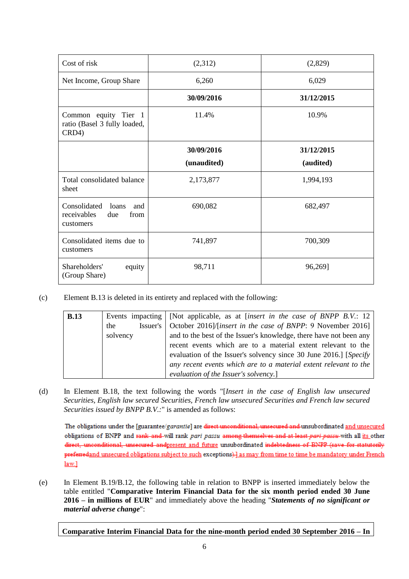| Cost of risk                                                            | (2,312)     | (2,829)    |
|-------------------------------------------------------------------------|-------------|------------|
| Net Income, Group Share                                                 | 6,260       | 6,029      |
|                                                                         | 30/09/2016  | 31/12/2015 |
| Common equity Tier 1<br>ratio (Basel 3 fully loaded,<br>CRD4)           | 11.4%       | 10.9%      |
|                                                                         | 30/09/2016  | 31/12/2015 |
|                                                                         | (unaudited) | (audited)  |
| Total consolidated balance<br>sheet                                     | 2,173,877   | 1,994,193  |
| Consolidated<br>loans<br>and<br>receivables<br>from<br>due<br>customers | 690,082     | 682,497    |
| Consolidated items due to<br>customers                                  | 741,897     | 700,309    |
| Shareholders'<br>equity<br>(Group Share)                                | 98,711      | 96,269]    |

(c) Element B.13 is deleted in its entirety and replaced with the following:

| <b>B.13</b> |          | Events impacting   [Not applicable, as at <i>linsert in the case of BNPP B.V.</i> : 12 |
|-------------|----------|----------------------------------------------------------------------------------------|
|             | the      | Issuer's $\vert$ October 2016]/ <i>[insert in the case of BNPP</i> : 9 November 2016]  |
|             | solvency | and to the best of the Issuer's knowledge, there have not been any                     |
|             |          | recent events which are to a material extent relevant to the                           |
|             |          | evaluation of the Issuer's solvency since 30 June 2016.] [Specify                      |
|             |          | any recent events which are to a material extent relevant to the                       |
|             |          | evaluation of the Issuer's solvency.]                                                  |

(d) In Element B.18, the text following the words "[*Insert in the case of English law unsecured Securities, English law secured Securities, French law unsecured Securities and French law secured Securities issued by BNPP B.V.:*" is amended as follows:

The obligations under the [guarantee/garantie] are direct unconditional, unsecured and unsubordinated and unsecured obligations of BNPP and rank-and-will rank pari passu among themselves and at least pari passu-with all its other <del>d andpresent and future</del> unsubordinated indebtedness of BNPP (sav rilv di preferredand unsecured obligations subject to such exceptions)-] as may from time to time be mandatory under French  $law.$ ]

(e) In Element B.19/B.12, the following table in relation to BNPP is inserted immediately below the table entitled "**Comparative Interim Financial Data for the six month period ended 30 June 2016 – in millions of EUR**" and immediately above the heading "*Statements of no significant or material adverse change*":

**Comparative Interim Financial Data for the nine-month period ended 30 September 2016 – In**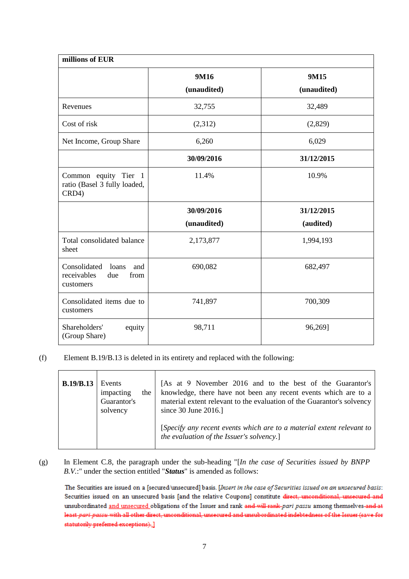| millions of EUR                                                         |             |             |
|-------------------------------------------------------------------------|-------------|-------------|
|                                                                         | 9M16        | 9M15        |
|                                                                         | (unaudited) | (unaudited) |
| Revenues                                                                | 32,755      | 32,489      |
| Cost of risk                                                            | (2,312)     | (2,829)     |
| Net Income, Group Share                                                 | 6,260       | 6,029       |
|                                                                         | 30/09/2016  | 31/12/2015  |
| Common equity Tier 1<br>ratio (Basel 3 fully loaded,<br>CRD4)           | 11.4%       | 10.9%       |
|                                                                         | 30/09/2016  | 31/12/2015  |
|                                                                         | (unaudited) | (audited)   |
| Total consolidated balance<br>sheet                                     | 2,173,877   | 1,994,193   |
| Consolidated<br>loans<br>and<br>receivables<br>from<br>due<br>customers | 690,082     | 682,497     |
| Consolidated items due to<br>customers                                  | 741,897     | 700,309     |
| Shareholders'<br>equity<br>(Group Share)                                | 98,711      | 96,269]     |

(f) Element B.19/B.13 is deleted in its entirety and replaced with the following:

| <b>B.19/B.13</b> | Events<br>impacting<br>the<br>Guarantor's<br>solvency | [As at 9 November 2016 and to the best of the Guarantor's<br>knowledge, there have not been any recent events which are to a<br>material extent relevant to the evaluation of the Guarantor's solvency<br>since $30$ June $2016$ .] |
|------------------|-------------------------------------------------------|-------------------------------------------------------------------------------------------------------------------------------------------------------------------------------------------------------------------------------------|
|                  |                                                       | [Specify any recent events which are to a material extent relevant to<br>the evaluation of the Issuer's solvency.]                                                                                                                  |

(g) In Element C.8, the paragraph under the sub-heading "[*In the case of Securities issued by BNPP B.V.*:" under the section entitled "*Status*" is amended as follows:

The Securities are issued on a [secured/unsecured] basis. [Insert in the case of Securities issued on an unsecured basis: Securities issued on an unsecured basis [and the relative Coupons] constitute direct, unconditional, unsecured and unsubordinated and unsecured obligations of the Issuer and rank and will rank-pari passu among themselves-and at least part passu with all other direct, unconditional, unsecured and unsubordinated indebtedness of the Issuer (save for statutorily preferred exceptions).]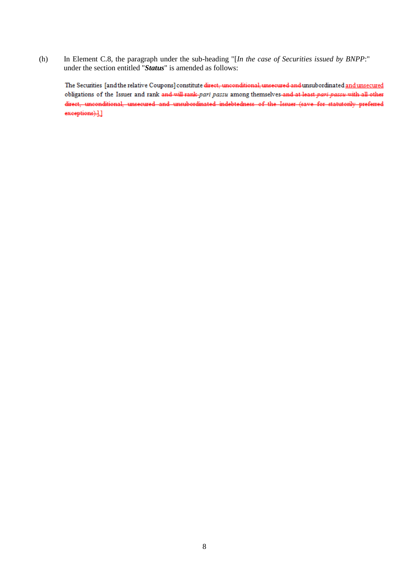(h) In Element C.8, the paragraph under the sub-heading "[*In the case of Securities issued by BNPP*:" under the section entitled "*Status*" is amended as follows:

The Securities [and the relative Coupons] constitute direct, unconditional, unsecured and unsubordinated and unsecured obligations of the Issuer and rank and will rank-pari passu among themselves-and at least pari passu with all other direct, unconditional, unsecured and unsubordinated indebtedness of the Issuer (save for statutorily preferred exceptions).].]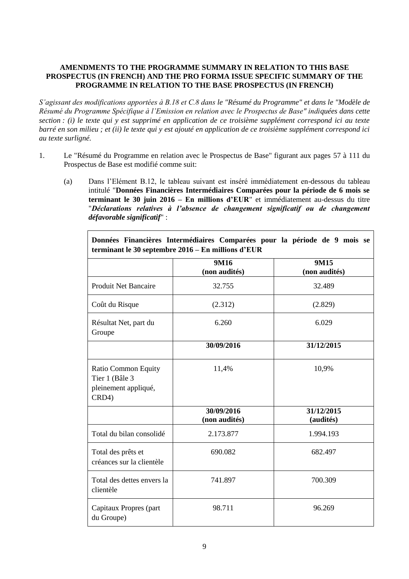## **AMENDMENTS TO THE PROGRAMME SUMMARY IN RELATION TO THIS BASE PROSPECTUS (IN FRENCH) AND THE PRO FORMA ISSUE SPECIFIC SUMMARY OF THE PROGRAMME IN RELATION TO THE BASE PROSPECTUS (IN FRENCH)**

*S'agissant des modifications apportées à B.18 et C.8 dans le "Résumé du Programme" et dans le "Modèle de Résumé du Programme Spécifique à l'Emission en relation avec le Prospectus de Base" indiquées dans cette section : (i) le texte qui y est supprimé en application de ce troisième supplément correspond ici au texte barré en son milieu ; et (ii) le texte qui y est ajouté en application de ce troisième supplément correspond ici au texte surligné.*

- 1. Le "Résumé du Programme en relation avec le Prospectus de Base" figurant aux pages 57 à 111 du Prospectus de Base est modifié comme suit:
	- (a) Dans l'Elément B.12, le tableau suivant est inséré immédiatement en-dessous du tableau intitulé "**Données Financières Intermédiaires Comparées pour la période de 6 mois se terminant le 30 juin 2016 – En millions d'EUR**" et immédiatement au-dessus du titre "*Déclarations relatives à l'absence de changement significatif ou de changement défavorable significatif*" :

| Données Financières Intermédiaires Comparées pour la période de 9 mois se<br>terminant le 30 septembre 2016 – En millions d'EUR |                             |                         |
|---------------------------------------------------------------------------------------------------------------------------------|-----------------------------|-------------------------|
|                                                                                                                                 | 9M16<br>(non audités)       | 9M15<br>(non audités)   |
| <b>Produit Net Bancaire</b>                                                                                                     | 32.755                      | 32.489                  |
| Coût du Risque                                                                                                                  | (2.312)                     | (2.829)                 |
| Résultat Net, part du<br>Groupe                                                                                                 | 6.260                       | 6.029                   |
|                                                                                                                                 | 30/09/2016                  | 31/12/2015              |
| Ratio Common Equity<br>Tier 1 (Bâle 3<br>pleinement appliqué,<br>CRD4)                                                          | 11,4%                       | 10,9%                   |
|                                                                                                                                 | 30/09/2016<br>(non audités) | 31/12/2015<br>(audités) |
| Total du bilan consolidé                                                                                                        | 2.173.877                   | 1.994.193               |
| Total des prêts et<br>créances sur la clientèle                                                                                 | 690.082                     | 682.497                 |
| Total des dettes envers la<br>clientèle                                                                                         | 741.897                     | 700.309                 |
| Capitaux Propres (part<br>du Groupe)                                                                                            | 98.711                      | 96.269                  |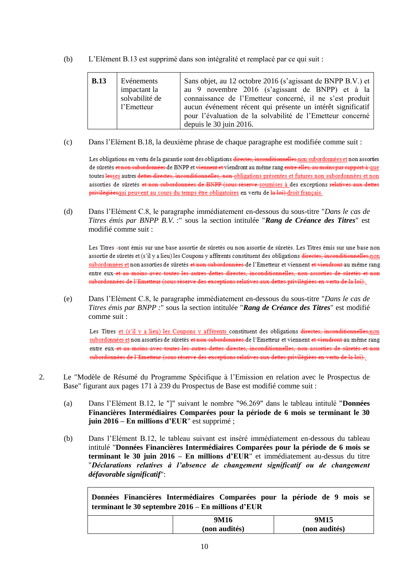(b) L'Elément B.13 est supprimé dans son intégralité et remplacé par ce qui suit :

| <b>B.13</b> | Evénements<br>impactant la<br>solvabilité de<br>l'Emetteur | Sans objet, au 12 octobre 2016 (s'agissant de BNPP B.V.) et<br>au 9 novembre 2016 (s'agissant de BNPP) et à la<br>connaissance de l'Emetteur concerné, il ne s'est produit<br>aucun événement récent qui présente un intérêt significatif<br>pour l'évaluation de la solvabilité de l'Emetteur concerné<br>depuis le 30 juin 2016. |
|-------------|------------------------------------------------------------|------------------------------------------------------------------------------------------------------------------------------------------------------------------------------------------------------------------------------------------------------------------------------------------------------------------------------------|
|-------------|------------------------------------------------------------|------------------------------------------------------------------------------------------------------------------------------------------------------------------------------------------------------------------------------------------------------------------------------------------------------------------------------------|

(c) Dans l'Elément B.18, la deuxième phrase de chaque paragraphe est modifiée comme suit :

Les obligations en vertu de la garantie sont des obligations directes, inconditionnelles, non subordonnées et non assorties de sûretés et non subordonnées de BNPP et viennent et viendront au même rang entre elles, au moins par rapport à que toutes lesses autres dettes directes, inconditionnelles, non-obligations présentes et futures non subordonnées et non assorties de sûretés et non subordonnées de BNPP (sous réserve soumises à des exceptions relatives aux dettes privilégiées qui peuvent au cours du temps être obligatoires en vertu de la loi) droit français.

(d) Dans l'Elément C.8, le paragraphe immédiatement en-dessous du sous-titre "*Dans le cas de Titres émis par BNPP B.V. :*" sous la section intitulée "*Rang de Créance des Titres*" est modifié comme suit :

Les Titres -sont émis sur une base assortie de sûretés ou non assortie de sûretés. Les Titres émis sur une base non assortie de sûretés et (s'il y a lieu) les Coupons y afférents constituent des obligations directes, inconditionnelles, non subordonnées et non assorties de sûretés et non subordonnées-de l'Emetteur et viennent et viendront-au même rang entre eux-et au moins avec toutes les autres dettes directes, inconditionnelles, non assorties de sûretés et non subordonnées de l'Emetteur (sous réserve des exceptions relatives aux dettes privilégiées en vertu de la loi)..

(e) Dans l'Elément C.8, le paragraphe immédiatement en-dessous du sous-titre "*Dans le cas de Titres émis par BNPP :*" sous la section intitulée "*Rang de Créance des Titres*" est modifié comme suit :

Les Titres et (s'il y a lieu) les Coupons y afférents constituent des obligations directes, inconditionnelles-non subordonnées et non assorties de sûretés et non subordonnées de l'Emetteur et viennent et viendront au même rang entre eux-et au moins avec toutes les autres dettes directes, inconditionnelles, non assorties de sûretés et non subordonnées de l'Emetteur (sous réserve des exceptions relatives aux dettes privilégiées en vertu de la loi)...

- 2. Le "Modèle de Résumé du Programme Spécifique à l'Emission en relation avec le Prospectus de Base" figurant aux pages 171 à 239 du Prospectus de Base est modifié comme suit :
	- (a) Dans l'Elément B.12, le "]" suivant le nombre "96.269" dans le tableau intitulé "**Données Financières Intermédiaires Comparées pour la période de 6 mois se terminant le 30 juin 2016 – En millions d'EUR**" est supprimé ;
	- (b) Dans l'Elément B.12, le tableau suivant est inséré immédiatement en-dessous du tableau intitulé "**Données Financières Intermédiaires Comparées pour la période de 6 mois se terminant le 30 juin 2016 – En millions d'EUR**" et immédiatement au-dessus du titre "*Déclarations relatives à l'absence de changement significatif ou de changement défavorable significatif*":

| terminant le 30 septembre 2016 – En millions d'EUR | Données Financières Intermédiaires Comparées pour la période de 9 mois se |
|----------------------------------------------------|---------------------------------------------------------------------------|
| 9M16                                               | 9M15                                                                      |
| (non audités)                                      | (non audités)                                                             |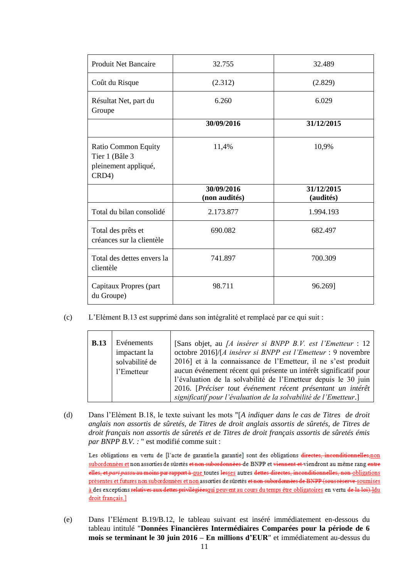| <b>Produit Net Bancaire</b>                                            | 32.755                      | 32.489                  |
|------------------------------------------------------------------------|-----------------------------|-------------------------|
| Coût du Risque                                                         | (2.312)                     | (2.829)                 |
| Résultat Net, part du<br>Groupe                                        | 6.260                       | 6.029                   |
|                                                                        | 30/09/2016                  | 31/12/2015              |
| Ratio Common Equity<br>Tier 1 (Bâle 3<br>pleinement appliqué,<br>CRD4) | 11,4%                       | 10,9%                   |
|                                                                        | 30/09/2016<br>(non audités) | 31/12/2015<br>(audités) |
| Total du bilan consolidé                                               | 2.173.877                   | 1.994.193               |
| Total des prêts et<br>créances sur la clientèle                        | 690.082                     | 682.497                 |
| Total des dettes envers la<br>clientèle                                | 741.897                     | 700.309                 |
| Capitaux Propres (part                                                 | 98.711                      | 96.269]                 |

(c) L'Elément B.13 est supprimé dans son intégralité et remplacé par ce qui suit :

 $\blacksquare$ 

| <b>B.13</b> | Evénements<br>impactant la<br>solvabilité de<br>l'Emetteur | [Sans objet, au [A insérer si BNPP B.V. est l'Emetteur : 12<br>octobre 2016)/[A insérer si BNPP est l'Emetteur : 9 novembre<br>2016] et à la connaissance de l'Emetteur, il ne s'est produit<br>aucun événement récent qui présente un intérêt significatif pour<br>l'évaluation de la solvabilité de l'Emetteur depuis le 30 juin<br>2016. [Préciser tout événement récent présentant un intérêt<br>significatif pour l'évaluation de la solvabilité de l'Emetteur.] |
|-------------|------------------------------------------------------------|-----------------------------------------------------------------------------------------------------------------------------------------------------------------------------------------------------------------------------------------------------------------------------------------------------------------------------------------------------------------------------------------------------------------------------------------------------------------------|
|-------------|------------------------------------------------------------|-----------------------------------------------------------------------------------------------------------------------------------------------------------------------------------------------------------------------------------------------------------------------------------------------------------------------------------------------------------------------------------------------------------------------------------------------------------------------|

(d) Dans l'Elément B.18, le texte suivant les mots "[*A indiquer dans le cas de Titres de droit anglais non assortis de sûretés, de Titres de droit anglais assortis de sûretés, de Titres de droit français non assortis de sûretés et de Titres de droit français assortis de sûretés émis par BNPP B.V. :* " est modifié comme suit :

Les obligations en vertu de [l'acte de garantie/la garantie] sont des obligations directes, inconditionnelles, non subordonnées et non assorties de sûretés et non subordonnées-de BNPP et viennent et viendront au même rang entre elles, et pari passu au moins par rapport à que toutes lesses autres dettes directes, inconditionnelles, non-obligations présentes et futures non subordonnées et non assorties de sûretés e<del>t non subordonnées de BNPP (sous réserve</del> soumises à des exceptions relatives aux dettes privilégiéesqui peuvent au cours du temps être obligatoires en vertu de la loi). Idu droit français.]

(e) Dans l'Elément B.19/B.12, le tableau suivant est inséré immédiatement en-dessous du tableau intitulé "**Données Financières Intermédiaires Comparées pour la période de 6 mois se terminant le 30 juin 2016 – En millions d'EUR**" et immédiatement au-dessus du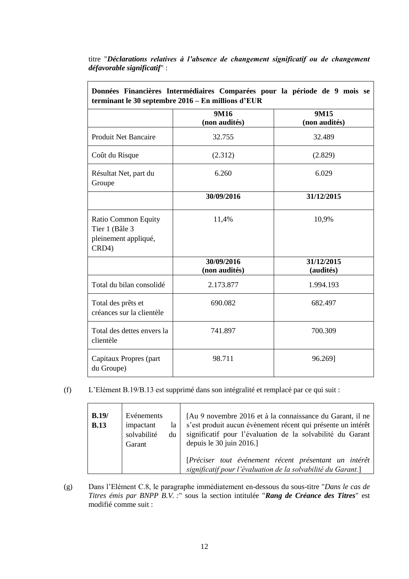| Données Financières Intermédiaires Comparées pour la période de 9 mois se<br>terminant le 30 septembre 2016 – En millions d'EUR |                             |                         |  |
|---------------------------------------------------------------------------------------------------------------------------------|-----------------------------|-------------------------|--|
|                                                                                                                                 | 9M16<br>(non audités)       | 9M15<br>(non audités)   |  |
| <b>Produit Net Bancaire</b>                                                                                                     | 32.755                      | 32.489                  |  |
| Coût du Risque                                                                                                                  | (2.312)                     | (2.829)                 |  |
| Résultat Net, part du<br>Groupe                                                                                                 | 6.260                       | 6.029                   |  |
|                                                                                                                                 | 30/09/2016                  | 31/12/2015              |  |
| Ratio Common Equity<br>Tier 1 (Bâle 3<br>pleinement appliqué,<br>CRD4)                                                          | 11,4%                       | 10,9%                   |  |
|                                                                                                                                 | 30/09/2016<br>(non audités) | 31/12/2015<br>(audités) |  |
| Total du bilan consolidé                                                                                                        | 2.173.877                   | 1.994.193               |  |
| Total des prêts et<br>créances sur la clientèle                                                                                 | 690.082                     | 682.497                 |  |
| Total des dettes envers la<br>clientèle                                                                                         | 741.897                     | 700.309                 |  |
| Capitaux Propres (part<br>du Groupe)                                                                                            | 98.711                      | 96.269]                 |  |

titre "*Déclarations relatives à l'absence de changement significatif ou de changement défavorable significatif*" :

 $\mathbf{r}$ 

(f) L'Elément B.19/B.13 est supprimé dans son intégralité et remplacé par ce qui suit :

| B.19/<br><b>B.13</b> | Evénements<br>impactant<br>la<br>solvabilité<br>du<br>Garant | [Au 9 novembre 2016 et à la connaissance du Garant, il ne<br>s'est produit aucun évènement récent qui présente un intérêt<br>significatif pour l'évaluation de la solvabilité du Garant<br>depuis le 30 juin 2016.] |  |
|----------------------|--------------------------------------------------------------|---------------------------------------------------------------------------------------------------------------------------------------------------------------------------------------------------------------------|--|
|                      |                                                              | [Préciser tout événement récent présentant un intérêt<br>significatif pour l'évaluation de la solvabilité du Garant.]                                                                                               |  |

(g) Dans l'Elément C.8, le paragraphe immédiatement en-dessous du sous-titre "*Dans le cas de Titres émis par BNPP B.V. :*" sous la section intitulée "*Rang de Créance des Titres*" est modifié comme suit :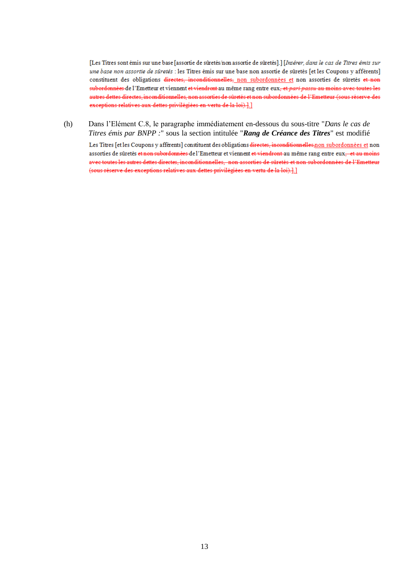[Les Titres sont émis sur une base [assortie de sûretés/non assortie de sûretés].] [Insérer, dans le cas de Titres émis sur une base non assortie de súretés : les Titres émis sur une base non assortie de sûretés [et les Coupons y afférents] constituent des obligations directes, inconditionnelles, non subordonnées et non assorties de sûretés et non subordonnées de l'Emetteur et viennent et viendront au même rang entre eux, et pari passu au moins avec toutes les autres dettes directes, inconditionnelles, non assorties de sûretés et non subordonnées de l'Emetteur (sous réserve des exceptions relatives aux dettes privilégiées en vertu de la loi).].]

(h) Dans l'Elément C.8, le paragraphe immédiatement en-dessous du sous-titre "*Dans le cas de Titres émis par BNPP :*" sous la section intitulée "*Rang de Créance des Titres*" est modifié

Les Titres [et les Coupons y afférents] constituent des obligations directes, inconditionnelles non subordonnées et non assorties de sûretés et non subordonnées de l'Emetteur et viennent et viendront au même rang entre eux- et au moins avec toutes les autres dettes directes, inconditionnelles, non assorties de sûretés et non subordonnées de l'Emetteur (sous réserve des exceptions relatives aux dettes privilégiées en vertu de la loi).].]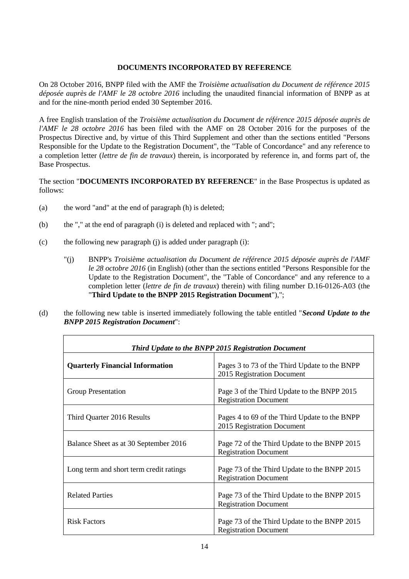### **DOCUMENTS INCORPORATED BY REFERENCE**

On 28 October 2016, BNPP filed with the AMF the *Troisième actualisation du Document de référence 2015 déposée auprès de l'AMF le 28 octobre 2016* including the unaudited financial information of BNPP as at and for the nine-month period ended 30 September 2016.

A free English translation of the *Troisième actualisation du Document de référence 2015 déposée auprès de l'AMF le 28 octobre 2016* has been filed with the AMF on 28 October 2016 for the purposes of the Prospectus Directive and, by virtue of this Third Supplement and other than the sections entitled "Persons Responsible for the Update to the Registration Document", the "Table of Concordance" and any reference to a completion letter (*lettre de fin de travaux*) therein, is incorporated by reference in, and forms part of, the Base Prospectus.

The section "**DOCUMENTS INCORPORATED BY REFERENCE**" in the Base Prospectus is updated as follows:

- (a) the word "and" at the end of paragraph (h) is deleted;
- (b) the "," at the end of paragraph (i) is deleted and replaced with "; and";
- (c) the following new paragraph (j) is added under paragraph (i):
	- "(j) BNPP's *Troisième actualisation du Document de référence 2015 déposée auprès de l'AMF le 28 octobre 2016* (in English) (other than the sections entitled "Persons Responsible for the Update to the Registration Document", the "Table of Concordance" and any reference to a completion letter (*lettre de fin de travaux*) therein) with filing number D.16-0126-A03 (the "**Third Update to the BNPP 2015 Registration Document**"),";
- (d) the following new table is inserted immediately following the table entitled "*Second Update to the BNPP 2015 Registration Document*":

| Third Update to the BNPP 2015 Registration Document |                                                                              |  |  |
|-----------------------------------------------------|------------------------------------------------------------------------------|--|--|
| <b>Quarterly Financial Information</b>              | Pages 3 to 73 of the Third Update to the BNPP<br>2015 Registration Document  |  |  |
| <b>Group Presentation</b>                           | Page 3 of the Third Update to the BNPP 2015<br><b>Registration Document</b>  |  |  |
| Third Quarter 2016 Results                          | Pages 4 to 69 of the Third Update to the BNPP<br>2015 Registration Document  |  |  |
| Balance Sheet as at 30 September 2016               | Page 72 of the Third Update to the BNPP 2015<br><b>Registration Document</b> |  |  |
| Long term and short term credit ratings             | Page 73 of the Third Update to the BNPP 2015<br><b>Registration Document</b> |  |  |
| <b>Related Parties</b>                              | Page 73 of the Third Update to the BNPP 2015<br><b>Registration Document</b> |  |  |
| <b>Risk Factors</b>                                 | Page 73 of the Third Update to the BNPP 2015<br><b>Registration Document</b> |  |  |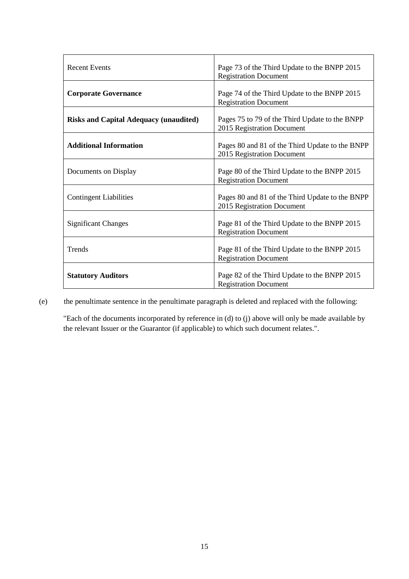| <b>Recent Events</b>                          | Page 73 of the Third Update to the BNPP 2015<br><b>Registration Document</b>  |
|-----------------------------------------------|-------------------------------------------------------------------------------|
| <b>Corporate Governance</b>                   | Page 74 of the Third Update to the BNPP 2015<br><b>Registration Document</b>  |
| <b>Risks and Capital Adequacy (unaudited)</b> | Pages 75 to 79 of the Third Update to the BNPP<br>2015 Registration Document  |
| <b>Additional Information</b>                 | Pages 80 and 81 of the Third Update to the BNPP<br>2015 Registration Document |
| Documents on Display                          | Page 80 of the Third Update to the BNPP 2015<br><b>Registration Document</b>  |
| <b>Contingent Liabilities</b>                 | Pages 80 and 81 of the Third Update to the BNPP<br>2015 Registration Document |
| <b>Significant Changes</b>                    | Page 81 of the Third Update to the BNPP 2015<br><b>Registration Document</b>  |
| Trends                                        | Page 81 of the Third Update to the BNPP 2015<br><b>Registration Document</b>  |
| <b>Statutory Auditors</b>                     | Page 82 of the Third Update to the BNPP 2015<br><b>Registration Document</b>  |

(e) the penultimate sentence in the penultimate paragraph is deleted and replaced with the following:

"Each of the documents incorporated by reference in (d) to (j) above will only be made available by the relevant Issuer or the Guarantor (if applicable) to which such document relates.".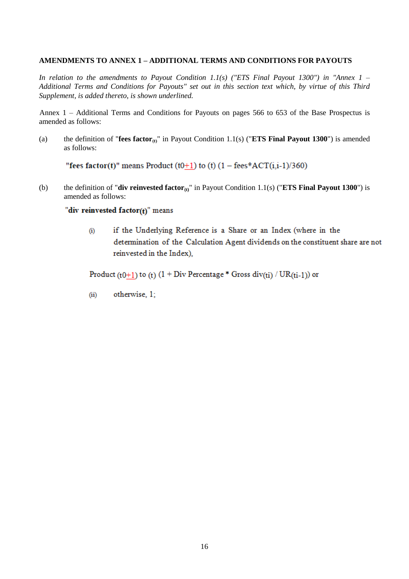### **AMENDMENTS TO ANNEX 1 – ADDITIONAL TERMS AND CONDITIONS FOR PAYOUTS**

*In relation to the amendments to Payout Condition 1.1(s) ("ETS Final Payout 1300") in "Annex 1 – Additional Terms and Conditions for Payouts" set out in this section text which, by virtue of this Third Supplement, is added thereto, is shown underlined.* 

Annex 1 – Additional Terms and Conditions for Payouts on pages 566 to 653 of the Base Prospectus is amended as follows:

(a) the definition of "**fees factor**<sub>(t)</sub>" in Payout Condition 1.1(s) ("**ETS Final Payout 1300**") is amended as follows:

"fees factor(f)" means Product (t0+1) to (t)  $(1 - \text{fees*ACT}(i,i-1)/360)$ 

(b) the definition of "**div reinvested factor(t)**" in Payout Condition 1.1(s) ("**ETS Final Payout 1300**") is amended as follows:

### "div reinvested factor(t)" means

if the Underlying Reference is a Share or an Index (where in the  $(i)$ determination of the Calculation Agent dividends on the constituent share are not reinvested in the Index).

Product (t0+1) to (t)  $(1 + Div$  Percentage \* Gross div(ti) / UR(ti-1)) or

otherwise, 1;  $(ii)$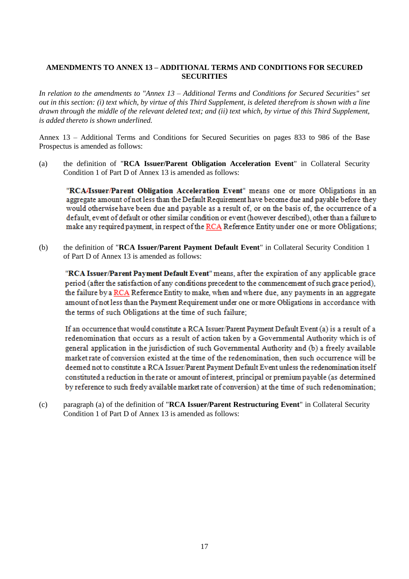## **AMENDMENTS TO ANNEX 13 – ADDITIONAL TERMS AND CONDITIONS FOR SECURED SECURITIES**

*In relation to the amendments to "Annex 13 – Additional Terms and Conditions for Secured Securities" set out in this section: (i) text which, by virtue of this Third Supplement, is deleted therefrom is shown with a line drawn through the middle of the relevant deleted text; and (ii) text which, by virtue of this Third Supplement, is added thereto is shown underlined.* 

Annex 13 – Additional Terms and Conditions for Secured Securities on pages 833 to 986 of the Base Prospectus is amended as follows:

(a) the definition of "**RCA Issuer/Parent Obligation Acceleration Event**" in Collateral Security Condition 1 of Part D of Annex 13 is amended as follows:

"RCAAIssuer/Parent Obligation Acceleration Event" means one or more Obligations in an aggregate amount of not less than the Default Requirement have become due and payable before they would otherwise have been due and payable as a result of, or on the basis of, the occurrence of a default, event of default or other similar condition or event (however described), other than a failure to make any required payment, in respect of the RCA Reference Entity under one or more Obligations;

(b) the definition of "**RCA Issuer/Parent Payment Default Event**" in Collateral Security Condition 1 of Part D of Annex 13 is amended as follows:

"RCA Issuer/Parent Payment Default Event" means, after the expiration of any applicable grace period (after the satisfaction of any conditions precedent to the commencement of such grace period). the failure by a RCA Reference Entity to make, when and where due, any payments in an aggregate amount of not less than the Payment Requirement under one or more Obligations in accordance with the terms of such Obligations at the time of such failure;

If an occurrence that would constitute a RCA Issuer/Parent Payment Default Event (a) is a result of a redenomination that occurs as a result of action taken by a Governmental Authority which is of general application in the jurisdiction of such Governmental Authority and (b) a freely available market rate of conversion existed at the time of the redenomination, then such occurrence will be deemed not to constitute a RCA Issuer/Parent Payment Default Event unless the redenomination itself constituted a reduction in the rate or amount of interest, principal or premium payable (as determined by reference to such freely available market rate of conversion) at the time of such redenomination;

(c) paragraph (a) of the definition of "**RCA Issuer/Parent Restructuring Event**" in Collateral Security Condition 1 of Part D of Annex 13 is amended as follows: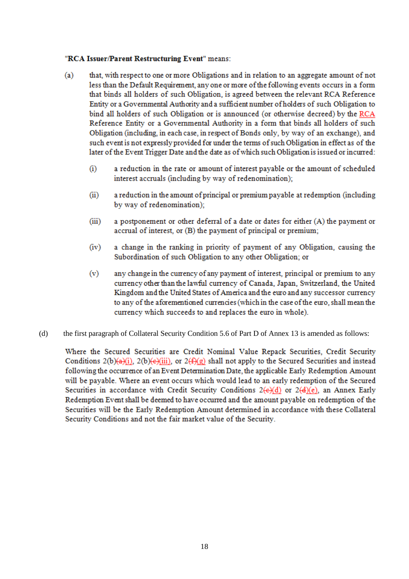## "RCA Issuer/Parent Restructuring Event" means:

- $(a)$ that, with respect to one or more Obligations and in relation to an aggregate amount of not less than the Default Requirement, any one or more of the following events occurs in a form that binds all holders of such Obligation, is agreed between the relevant RCA Reference Entity or a Governmental Authority and a sufficient number of holders of such Obligation to bind all holders of such Obligation or is announced (or otherwise decreed) by the RCA Reference Entity or a Governmental Authority in a form that binds all holders of such Obligation (including, in each case, in respect of Bonds only, by way of an exchange), and such event is not expressly provided for under the terms of such Obligation in effect as of the later of the Event Trigger Date and the date as of which such Obligation is issued or incurred:
	- $(i)$ a reduction in the rate or amount of interest payable or the amount of scheduled interest accruals (including by way of redenomination);
	- a reduction in the amount of principal or premium payable at redemption (including  $(ii)$ by way of redenomination);
	- a postponement or other deferral of a date or dates for either (A) the payment or  $(iii)$ accrual of interest, or (B) the payment of principal or premium;
	- $(iv)$ a change in the ranking in priority of payment of any Obligation, causing the Subordination of such Obligation to any other Obligation; or
	- $(v)$ any change in the currency of any payment of interest, principal or premium to any currency other than the lawful currency of Canada, Japan, Switzerland, the United Kingdom and the United States of America and the euro and any successor currency to any of the aforementioned currencies (which in the case of the euro, shall mean the currency which succeeds to and replaces the euro in whole).
- (d) the first paragraph of Collateral Security Condition 5.6 of Part D of Annex 13 is amended as follows:

Where the Secured Securities are Credit Nominal Value Repack Securities, Credit Security Conditions 2(b)(a)(i), 2(b)(e)(iii), or 2(f)(g) shall not apply to the Secured Securities and instead following the occurrence of an Event Determination Date, the applicable Early Redemption Amount will be payable. Where an event occurs which would lead to an early redemption of the Secured Securities in accordance with Credit Security Conditions  $2\left(\frac{e}{d}\right)$  or  $2\left(\frac{d}{e}\right)$ , an Annex Early Redemption Event shall be deemed to have occurred and the amount payable on redemption of the Securities will be the Early Redemption Amount determined in accordance with these Collateral Security Conditions and not the fair market value of the Security.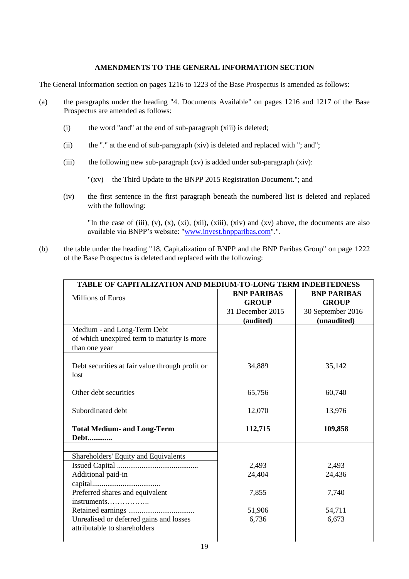### **AMENDMENTS TO THE GENERAL INFORMATION SECTION**

The General Information section on pages 1216 to 1223 of the Base Prospectus is amended as follows:

- (a) the paragraphs under the heading "4. Documents Available" on pages 1216 and 1217 of the Base Prospectus are amended as follows:
	- (i) the word "and" at the end of sub-paragraph (xiii) is deleted;
	- (ii) the "." at the end of sub-paragraph (xiv) is deleted and replaced with "; and";
	- (iii) the following new sub-paragraph  $(xv)$  is added under sub-paragraph  $(xiv)$ :

"(xv) the Third Update to the BNPP 2015 Registration Document."; and

(iv) the first sentence in the first paragraph beneath the numbered list is deleted and replaced with the following:

"In the case of (iii),  $(v)$ ,  $(x)$ ,  $(x)$ ,  $(xii)$ ,  $(xiii)$ ,  $(xiv)$  and  $(xv)$  above, the documents are also available via BNPP's website: ["www.invest.bnpparibas.com"](http://www.invest.bnpparibas.com/).".

(b) the table under the heading "18. Capitalization of BNPP and the BNP Paribas Group" on page 1222 of the Base Prospectus is deleted and replaced with the following:

| TABLE OF CAPITALIZATION AND MEDIUM-TO-LONG TERM INDEBTEDNESS |                    |                    |
|--------------------------------------------------------------|--------------------|--------------------|
| <b>Millions of Euros</b>                                     | <b>BNP PARIBAS</b> | <b>BNP PARIBAS</b> |
|                                                              | <b>GROUP</b>       | <b>GROUP</b>       |
|                                                              | 31 December 2015   | 30 September 2016  |
|                                                              | (audited)          | (unaudited)        |
| Medium - and Long-Term Debt                                  |                    |                    |
| of which unexpired term to maturity is more                  |                    |                    |
| than one year                                                |                    |                    |
|                                                              |                    |                    |
| Debt securities at fair value through profit or              | 34,889             | 35,142             |
| lost                                                         |                    |                    |
|                                                              |                    |                    |
| Other debt securities                                        | 65,756             | 60,740             |
| Subordinated debt                                            | 12,070             | 13,976             |
|                                                              |                    |                    |
| <b>Total Medium- and Long-Term</b>                           | 112,715            | 109,858            |
| Debt                                                         |                    |                    |
|                                                              |                    |                    |
| Shareholders' Equity and Equivalents                         |                    |                    |
|                                                              | 2,493              | 2,493              |
| Additional paid-in                                           | 24,404             | 24,436             |
|                                                              |                    |                    |
| Preferred shares and equivalent                              | 7,855              | 7,740              |
| instruments                                                  |                    |                    |
|                                                              | 51,906             | 54,711             |
| Unrealised or deferred gains and losses                      | 6,736              | 6,673              |
| attributable to shareholders                                 |                    |                    |
|                                                              |                    |                    |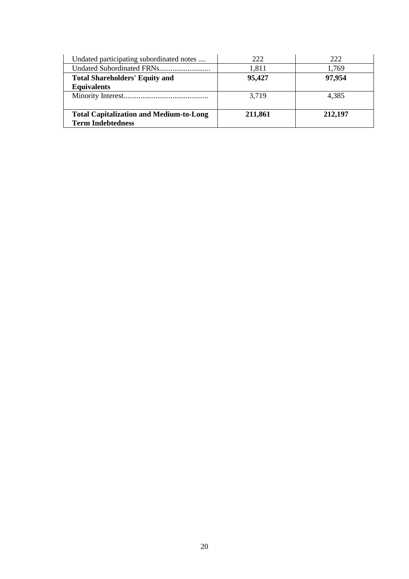| Undated participating subordinated notes       | 222     | 222     |
|------------------------------------------------|---------|---------|
|                                                | 1,811   | 1,769   |
| <b>Total Shareholders' Equity and</b>          | 95,427  | 97,954  |
| <b>Equivalents</b>                             |         |         |
|                                                | 3,719   | 4,385   |
|                                                |         |         |
| <b>Total Capitalization and Medium-to-Long</b> | 211,861 | 212,197 |
| <b>Term Indebtedness</b>                       |         |         |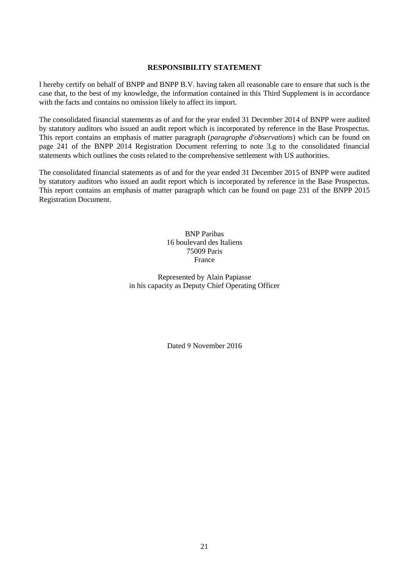#### **RESPONSIBILITY STATEMENT**

I hereby certify on behalf of BNPP and BNPP B.V. having taken all reasonable care to ensure that such is the case that, to the best of my knowledge, the information contained in this Third Supplement is in accordance with the facts and contains no omission likely to affect its import.

The consolidated financial statements as of and for the year ended 31 December 2014 of BNPP were audited by statutory auditors who issued an audit report which is incorporated by reference in the Base Prospectus. This report contains an emphasis of matter paragraph (*paragraphe d'observations*) which can be found on page 241 of the BNPP 2014 Registration Document referring to note 3.g to the consolidated financial statements which outlines the costs related to the comprehensive settlement with US authorities.

The consolidated financial statements as of and for the year ended 31 December 2015 of BNPP were audited by statutory auditors who issued an audit report which is incorporated by reference in the Base Prospectus. This report contains an emphasis of matter paragraph which can be found on page 231 of the BNPP 2015 Registration Document.

> BNP Paribas 16 boulevard des Italiens 75009 Paris France

Represented by Alain Papiasse in his capacity as Deputy Chief Operating Officer

Dated 9 November 2016